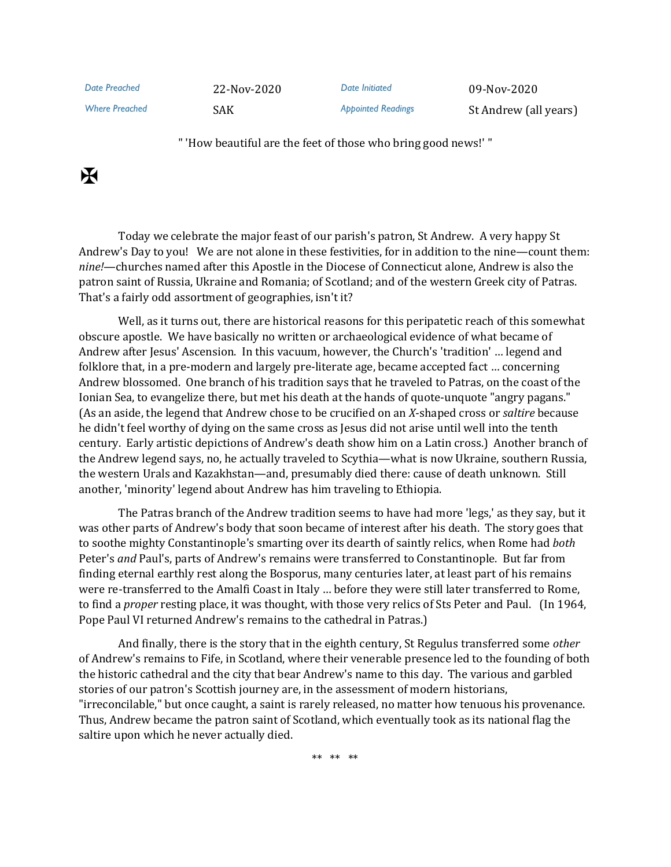*Date Preached* 22-Nov-2020 *Date Initiated* 09-Nov-2020

Where Preached **SAK** SAK *Appointed Readings* St Andrew (all years)

" 'How beautiful are the feet of those who bring good news!' "

## $\mathbf K$

Today we celebrate the major feast of our parish's patron, St Andrew. A very happy St Andrew's Day to you! We are not alone in these festivities, for in addition to the nine—count them: *nine!*—churches named after this Apostle in the Diocese of Connecticut alone, Andrew is also the patron saint of Russia, Ukraine and Romania; of Scotland; and of the western Greek city of Patras. That's a fairly odd assortment of geographies, isn't it?

Well, as it turns out, there are historical reasons for this peripatetic reach of this somewhat obscure apostle. We have basically no written or archaeological evidence of what became of Andrew after Jesus' Ascension. In this vacuum, however, the Church's 'tradition' … legend and folklore that, in a pre-modern and largely pre-literate age, became accepted fact … concerning Andrew blossomed. One branch of his tradition says that he traveled to Patras, on the coast of the Ionian Sea, to evangelize there, but met his death at the hands of quote-unquote "angry pagans." (As an aside, the legend that Andrew chose to be crucified on an *X*-shaped cross or *saltire* because he didn't feel worthy of dying on the same cross as Jesus did not arise until well into the tenth century. Early artistic depictions of Andrew's death show him on a Latin cross.) Another branch of the Andrew legend says, no, he actually traveled to Scythia—what is now Ukraine, southern Russia, the western Urals and Kazakhstan—and, presumably died there: cause of death unknown. Still another, 'minority' legend about Andrew has him traveling to Ethiopia.

The Patras branch of the Andrew tradition seems to have had more 'legs,' as they say, but it was other parts of Andrew's body that soon became of interest after his death. The story goes that to soothe mighty Constantinople's smarting over its dearth of saintly relics, when Rome had *both* Peter's *and* Paul's, parts of Andrew's remains were transferred to Constantinople. But far from finding eternal earthly rest along the Bosporus, many centuries later, at least part of his remains were re-transferred to the Amalfi Coast in Italy … before they were still later transferred to Rome, to find a *proper* resting place, it was thought, with those very relics of Sts Peter and Paul. (In 1964, Pope Paul VI returned Andrew's remains to the cathedral in Patras.)

And finally, there is the story that in the eighth century, St Regulus transferred some *other* of Andrew's remains to Fife, in Scotland, where their venerable presence led to the founding of both the historic cathedral and the city that bear Andrew's name to this day. The various and garbled stories of our patron's Scottish journey are, in the assessment of modern historians, "irreconcilable," but once caught, a saint is rarely released, no matter how tenuous his provenance. Thus, Andrew became the patron saint of Scotland, which eventually took as its national flag the saltire upon which he never actually died.

\*\* \*\* \*\*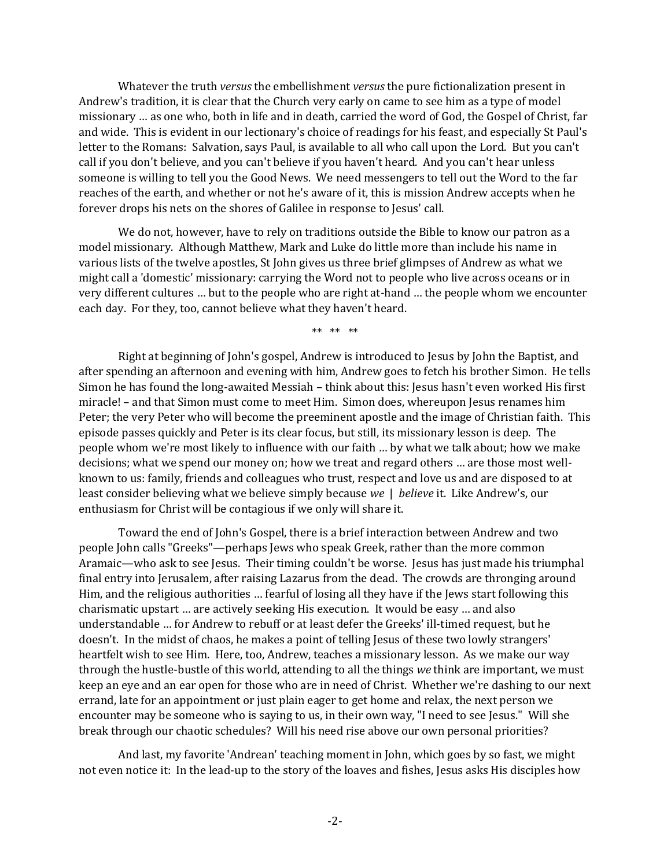Whatever the truth *versus* the embellishment *versus* the pure fictionalization present in Andrew's tradition, it is clear that the Church very early on came to see him as a type of model missionary … as one who, both in life and in death, carried the word of God, the Gospel of Christ, far and wide. This is evident in our lectionary's choice of readings for his feast, and especially St Paul's letter to the Romans: Salvation, says Paul, is available to all who call upon the Lord. But you can't call if you don't believe, and you can't believe if you haven't heard. And you can't hear unless someone is willing to tell you the Good News. We need messengers to tell out the Word to the far reaches of the earth, and whether or not he's aware of it, this is mission Andrew accepts when he forever drops his nets on the shores of Galilee in response to Jesus' call.

We do not, however, have to rely on traditions outside the Bible to know our patron as a model missionary. Although Matthew, Mark and Luke do little more than include his name in various lists of the twelve apostles, St John gives us three brief glimpses of Andrew as what we might call a 'domestic' missionary: carrying the Word not to people who live across oceans or in very different cultures … but to the people who are right at-hand … the people whom we encounter each day. For they, too, cannot believe what they haven't heard.

\*\* \*\* \*\*

Right at beginning of John's gospel, Andrew is introduced to Jesus by John the Baptist, and after spending an afternoon and evening with him, Andrew goes to fetch his brother Simon. He tells Simon he has found the long-awaited Messiah – think about this: Jesus hasn't even worked His first miracle! – and that Simon must come to meet Him. Simon does, whereupon Jesus renames him Peter; the very Peter who will become the preeminent apostle and the image of Christian faith. This episode passes quickly and Peter is its clear focus, but still, its missionary lesson is deep. The people whom we're most likely to influence with our faith … by what we talk about; how we make decisions; what we spend our money on; how we treat and regard others … are those most wellknown to us: family, friends and colleagues who trust, respect and love us and are disposed to at least consider believing what we believe simply because *we* | *believe* it. Like Andrew's, our enthusiasm for Christ will be contagious if we only will share it.

Toward the end of John's Gospel, there is a brief interaction between Andrew and two people John calls "Greeks"—perhaps Jews who speak Greek, rather than the more common Aramaic—who ask to see Jesus. Their timing couldn't be worse. Jesus has just made his triumphal final entry into Jerusalem, after raising Lazarus from the dead. The crowds are thronging around Him, and the religious authorities … fearful of losing all they have if the Jews start following this charismatic upstart … are actively seeking His execution. It would be easy … and also understandable … for Andrew to rebuff or at least defer the Greeks' ill-timed request, but he doesn't. In the midst of chaos, he makes a point of telling Jesus of these two lowly strangers' heartfelt wish to see Him. Here, too, Andrew, teaches a missionary lesson. As we make our way through the hustle-bustle of this world, attending to all the things *we* think are important, we must keep an eye and an ear open for those who are in need of Christ. Whether we're dashing to our next errand, late for an appointment or just plain eager to get home and relax, the next person we encounter may be someone who is saying to us, in their own way, "I need to see Jesus." Will she break through our chaotic schedules? Will his need rise above our own personal priorities?

And last, my favorite 'Andrean' teaching moment in John, which goes by so fast, we might not even notice it: In the lead-up to the story of the loaves and fishes, Jesus asks His disciples how